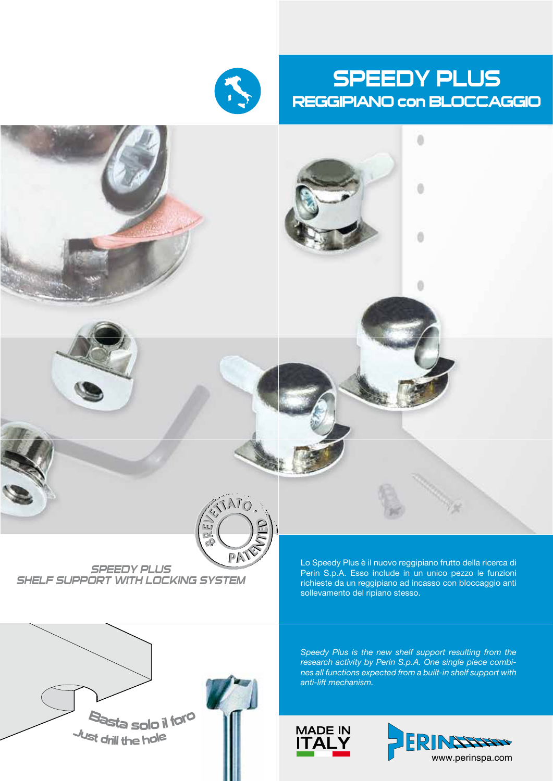

# SPEEDY PLUS REGGIPIANO con BLOCCAGGIO

0

ö



#### *SPEEDY PLUS SHELF SUPPORT WITH LOCKING SYSTEM*

Lo Speedy Plus è il nuovo reggipiano frutto della ricerca di Perin S.p.A. Esso include in un unico pezzo le funzioni richieste da un reggipiano ad incasso con bloccaggio anti sollevamento del ripiano stesso.

*Speedy Plus is the new shelf support resulting from the research activity by Perin S.p.A. One single piece combines all functions expected from a built-in shelf support with anti-lift mechanism.*





e de la construcción de la construcción de la construcción de la construcción de la construcción de la construcción de la construcción de la construcción de la construcción de la construcción de la construcción de la const

<sup>B</sup>asta solo il for<sup>o</sup> Lust drill the hole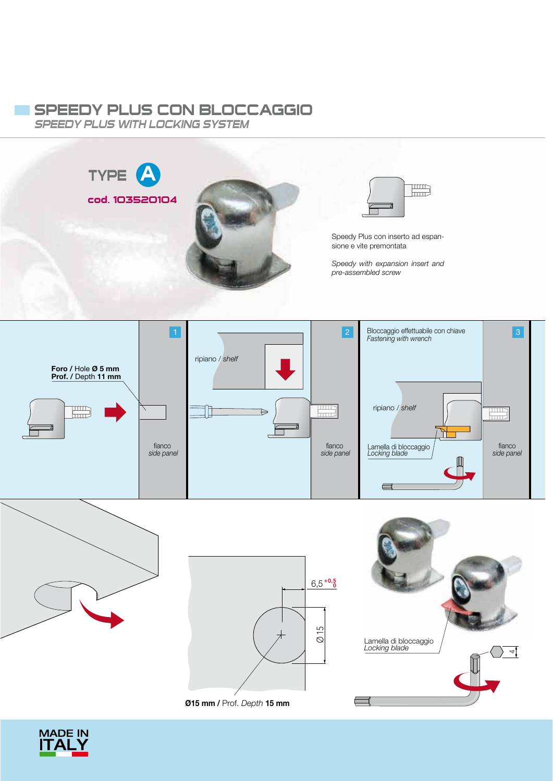# SPEEDY PLUS CON BLOCCAGGIO

*SPEEDY PLUS WITH LOCKING SYSTEM*



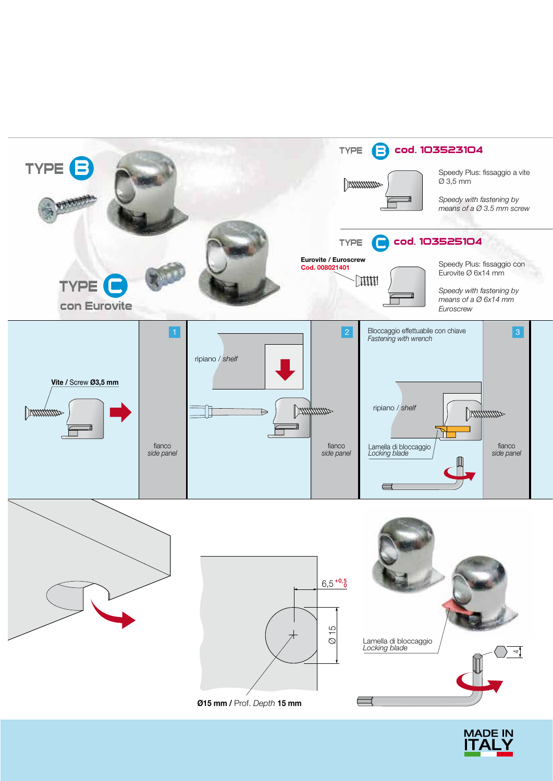